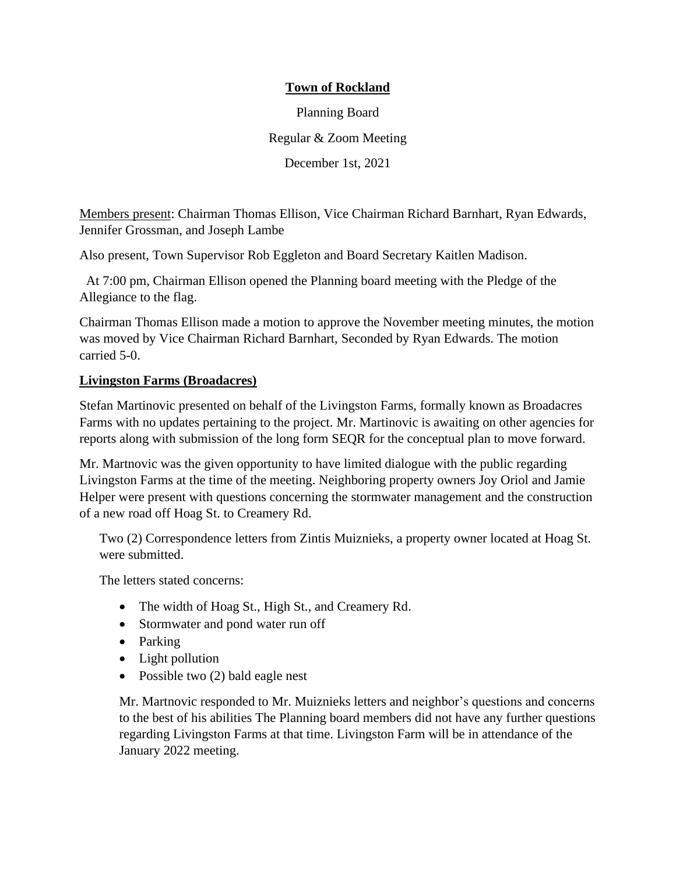## **Town of Rockland**

Planning Board Regular & Zoom Meeting

December 1st, 2021

Members present: Chairman Thomas Ellison, Vice Chairman Richard Barnhart, Ryan Edwards, Jennifer Grossman, and Joseph Lambe

Also present, Town Supervisor Rob Eggleton and Board Secretary Kaitlen Madison.

At 7:00 pm, Chairman Ellison opened the Planning board meeting with the Pledge of the Allegiance to the flag.

Chairman Thomas Ellison made a motion to approve the November meeting minutes, the motion was moved by Vice Chairman Richard Barnhart, Seconded by Ryan Edwards. The motion carried 5-0.

## **Livingston Farms (Broadacres)**

Stefan Martinovic presented on behalf of the Livingston Farms, formally known as Broadacres Farms with no updates pertaining to the project. Mr. Martinovic is awaiting on other agencies for reports along with submission of the long form SEQR for the conceptual plan to move forward.

Mr. Martnovic was the given opportunity to have limited dialogue with the public regarding Livingston Farms at the time of the meeting. Neighboring property owners Joy Oriol and Jamie Helper were present with questions concerning the stormwater management and the construction of a new road off Hoag St. to Creamery Rd.

Two (2) Correspondence letters from Zintis Muiznieks, a property owner located at Hoag St. were submitted.

The letters stated concerns:

- The width of Hoag St., High St., and Creamery Rd.
- Stormwater and pond water run off
- Parking
- Light pollution
- Possible two (2) bald eagle nest

Mr. Martnovic responded to Mr. Muiznieks letters and neighbor's questions and concerns to the best of his abilities The Planning board members did not have any further questions regarding Livingston Farms at that time. Livingston Farm will be in attendance of the January 2022 meeting.